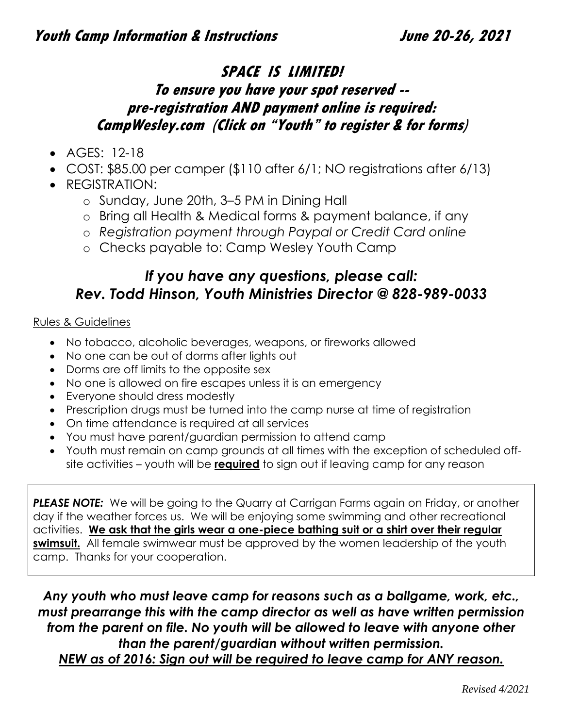# **SPACE IS LIMITED! To ensure you have your spot reserved - pre-registration AND payment online is required: CampWesley.com (Click on "Youth" to register & for forms)**

- AGES: 12-18
- COST: \$85.00 per camper (\$110 after 6/1; NO registrations after 6/13)
- REGISTRATION:
	- o Sunday, June 20th, 3–5 PM in Dining Hall
	- o Bring all Health & Medical forms & payment balance, if any
	- o *Registration payment through Paypal or Credit Card online*
	- o Checks payable to: Camp Wesley Youth Camp

# *If you have any questions, please call: Rev. Todd Hinson, Youth Ministries Director @ 828-989-0033*

### Rules & Guidelines

- No tobacco, alcoholic beverages, weapons, or fireworks allowed
- No one can be out of dorms after lights out
- Dorms are off limits to the opposite sex
- No one is allowed on fire escapes unless it is an emergency
- Everyone should dress modestly
- Prescription drugs must be turned into the camp nurse at time of registration
- On time attendance is required at all services
- You must have parent/guardian permission to attend camp
- Youth must remain on camp grounds at all times with the exception of scheduled offsite activities – youth will be **required** to sign out if leaving camp for any reason

**PLEASE NOTE:** We will be going to the Quarry at Carrigan Farms again on Friday, or another day if the weather forces us. We will be enjoying some swimming and other recreational activities. **We ask that the girls wear a one-piece bathing suit or a shirt over their regular swimsuit.** All female swimwear must be approved by the women leadership of the youth camp. Thanks for your cooperation.

*Any youth who must leave camp for reasons such as a ballgame, work, etc., must prearrange this with the camp director as well as have written permission from the parent on file. No youth will be allowed to leave with anyone other than the parent/guardian without written permission. NEW as of 2016: Sign out will be required to leave camp for ANY reason.*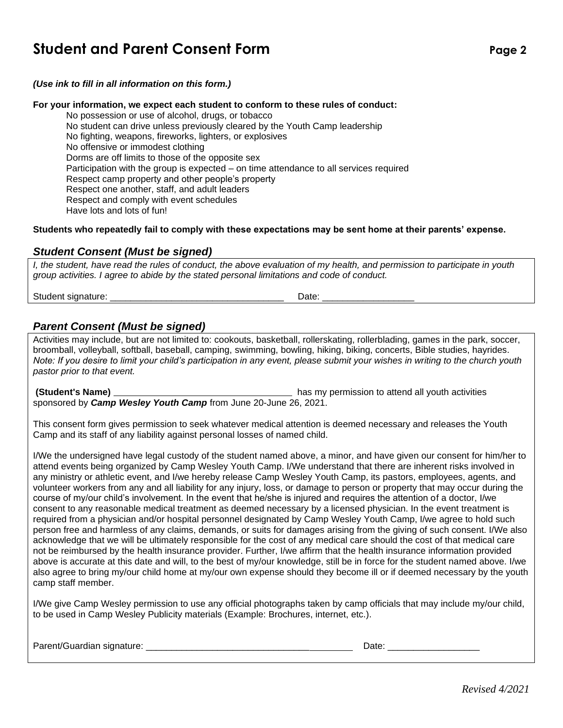# **Student and Parent Consent Form**

*(Use ink to fill in all information on this form.)*

#### **For your information, we expect each student to conform to these rules of conduct:**

No possession or use of alcohol, drugs, or tobacco No student can drive unless previously cleared by the Youth Camp leadership No fighting, weapons, fireworks, lighters, or explosives No offensive or immodest clothing Dorms are off limits to those of the opposite sex Participation with the group is expected – on time attendance to all services required Respect camp property and other people's property Respect one another, staff, and adult leaders Respect and comply with event schedules Have lots and lots of fun!

#### **Students who repeatedly fail to comply with these expectations may be sent home at their parents' expense.**

#### *Student Consent (Must be signed)*

*I, the student, have read the rules of conduct, the above evaluation of my health, and permission to participate in youth group activities. I agree to abide by the stated personal limitations and code of conduct.* 

Student signature: \_\_\_\_\_\_\_\_\_\_\_\_\_\_\_\_\_\_\_\_\_\_\_\_\_\_\_\_\_\_\_\_\_\_ Date: \_\_\_\_\_\_\_\_\_\_\_\_\_\_\_\_\_\_

#### *Parent Consent (Must be signed)*

Activities may include, but are not limited to: cookouts, basketball, rollerskating, rollerblading, games in the park, soccer, broomball, volleyball, softball, baseball, camping, swimming, bowling, hiking, biking, concerts, Bible studies, hayrides. *Note: If you desire to limit your child's participation in any event, please submit your wishes in writing to the church youth pastor prior to that event.*

**(Student's Name)** has my permission to attend all youth activities sponsored by *Camp Wesley Youth Camp* from June 20-June 26, 2021.

This consent form gives permission to seek whatever medical attention is deemed necessary and releases the Youth Camp and its staff of any liability against personal losses of named child.

I/We the undersigned have legal custody of the student named above, a minor, and have given our consent for him/her to attend events being organized by Camp Wesley Youth Camp. I/We understand that there are inherent risks involved in any ministry or athletic event, and I/we hereby release Camp Wesley Youth Camp, its pastors, employees, agents, and volunteer workers from any and all liability for any injury, loss, or damage to person or property that may occur during the course of my/our child's involvement. In the event that he/she is injured and requires the attention of a doctor, I/we consent to any reasonable medical treatment as deemed necessary by a licensed physician. In the event treatment is required from a physician and/or hospital personnel designated by Camp Wesley Youth Camp, I/we agree to hold such person free and harmless of any claims, demands, or suits for damages arising from the giving of such consent. I/We also acknowledge that we will be ultimately responsible for the cost of any medical care should the cost of that medical care not be reimbursed by the health insurance provider. Further, I/we affirm that the health insurance information provided above is accurate at this date and will, to the best of my/our knowledge, still be in force for the student named above. I/we also agree to bring my/our child home at my/our own expense should they become ill or if deemed necessary by the youth camp staff member.

I/We give Camp Wesley permission to use any official photographs taken by camp officials that may include my/our child, to be used in Camp Wesley Publicity materials (Example: Brochures, internet, etc.).

Parent/Guardian signature: \_\_\_\_\_\_\_\_\_\_\_\_\_\_\_\_\_\_\_\_\_\_\_\_\_\_\_\_\_\_\_\_ Date: \_\_\_\_\_\_\_\_\_\_\_\_\_\_\_\_\_\_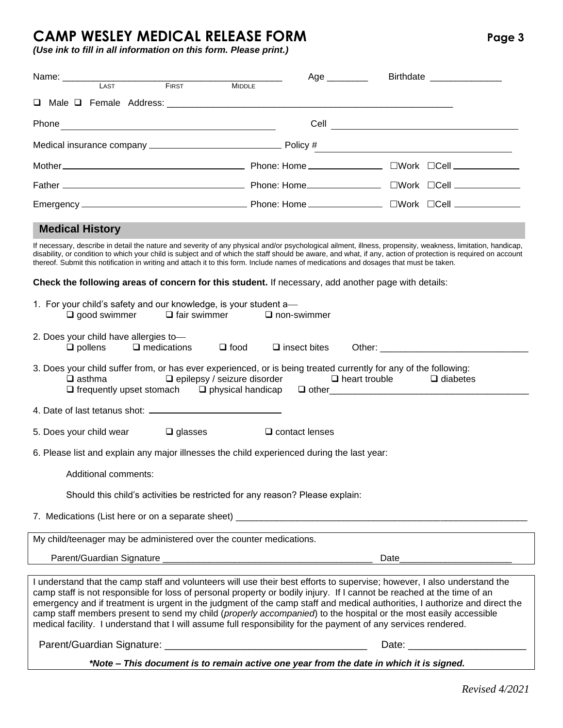# **CAMP WESLEY MEDICAL RELEASE FORM Page 3**

*(Use ink to fill in all information on this form. Please print.)*

| Name: LAST<br>FIRST                                                                                                                                                                                                                                                                                                                                                                                                                                                                                                                                                                                                     | Age _________                                                           | Birthdate __________________       |
|-------------------------------------------------------------------------------------------------------------------------------------------------------------------------------------------------------------------------------------------------------------------------------------------------------------------------------------------------------------------------------------------------------------------------------------------------------------------------------------------------------------------------------------------------------------------------------------------------------------------------|-------------------------------------------------------------------------|------------------------------------|
| <b>MIDDLE</b>                                                                                                                                                                                                                                                                                                                                                                                                                                                                                                                                                                                                           |                                                                         |                                    |
|                                                                                                                                                                                                                                                                                                                                                                                                                                                                                                                                                                                                                         |                                                                         |                                    |
|                                                                                                                                                                                                                                                                                                                                                                                                                                                                                                                                                                                                                         |                                                                         |                                    |
|                                                                                                                                                                                                                                                                                                                                                                                                                                                                                                                                                                                                                         |                                                                         |                                    |
|                                                                                                                                                                                                                                                                                                                                                                                                                                                                                                                                                                                                                         |                                                                         |                                    |
|                                                                                                                                                                                                                                                                                                                                                                                                                                                                                                                                                                                                                         |                                                                         |                                    |
|                                                                                                                                                                                                                                                                                                                                                                                                                                                                                                                                                                                                                         |                                                                         |                                    |
| <b>Medical History</b>                                                                                                                                                                                                                                                                                                                                                                                                                                                                                                                                                                                                  |                                                                         |                                    |
| If necessary, describe in detail the nature and severity of any physical and/or psychological ailment, illness, propensity, weakness, limitation, handicap,<br>disability, or condition to which your child is subject and of which the staff should be aware, and what, if any, action of protection is required on account<br>thereof. Submit this notification in writing and attach it to this form. Include names of medications and dosages that must be taken.                                                                                                                                                   |                                                                         |                                    |
| Check the following areas of concern for this student. If necessary, add another page with details:                                                                                                                                                                                                                                                                                                                                                                                                                                                                                                                     |                                                                         |                                    |
| 1. For your child's safety and our knowledge, is your student a-<br>$\Box$ fair swimmer<br>$\Box$ good swimmer                                                                                                                                                                                                                                                                                                                                                                                                                                                                                                          | $\Box$ non-swimmer                                                      |                                    |
| 2. Does your child have allergies to-<br>$\square$ medications<br>$\Box$ pollens<br>$\Box$ food                                                                                                                                                                                                                                                                                                                                                                                                                                                                                                                         | $\square$ insect bites                                                  |                                    |
| 3. Does your child suffer from, or has ever experienced, or is being treated currently for any of the following:<br>$\Box$ asthma<br>$\Box$ frequently upset stomach $\Box$ physical handicap                                                                                                                                                                                                                                                                                                                                                                                                                           | $\Box$ epilepsy / seizure disorder $\Box$ heart trouble $\Box$ diabetes |                                    |
|                                                                                                                                                                                                                                                                                                                                                                                                                                                                                                                                                                                                                         |                                                                         |                                    |
| $\Box$ glasses<br>5. Does your child wear                                                                                                                                                                                                                                                                                                                                                                                                                                                                                                                                                                               | $\square$ contact lenses                                                |                                    |
| 6. Please list and explain any major illnesses the child experienced during the last year:                                                                                                                                                                                                                                                                                                                                                                                                                                                                                                                              |                                                                         |                                    |
| Additional comments:                                                                                                                                                                                                                                                                                                                                                                                                                                                                                                                                                                                                    |                                                                         |                                    |
| Should this child's activities be restricted for any reason? Please explain:                                                                                                                                                                                                                                                                                                                                                                                                                                                                                                                                            |                                                                         |                                    |
|                                                                                                                                                                                                                                                                                                                                                                                                                                                                                                                                                                                                                         |                                                                         |                                    |
| My child/teenager may be administered over the counter medications.                                                                                                                                                                                                                                                                                                                                                                                                                                                                                                                                                     |                                                                         |                                    |
|                                                                                                                                                                                                                                                                                                                                                                                                                                                                                                                                                                                                                         |                                                                         | Date                               |
|                                                                                                                                                                                                                                                                                                                                                                                                                                                                                                                                                                                                                         |                                                                         |                                    |
| I understand that the camp staff and volunteers will use their best efforts to supervise; however, I also understand the<br>camp staff is not responsible for loss of personal property or bodily injury. If I cannot be reached at the time of an<br>emergency and if treatment is urgent in the judgment of the camp staff and medical authorities, I authorize and direct the<br>camp staff members present to send my child (properly accompanied) to the hospital or the most easily accessible<br>medical facility. I understand that I will assume full responsibility for the payment of any services rendered. |                                                                         |                                    |
|                                                                                                                                                                                                                                                                                                                                                                                                                                                                                                                                                                                                                         |                                                                         | Date: <u>_____________________</u> |
| *Note – This document is to remain active one year from the date in which it is signed.                                                                                                                                                                                                                                                                                                                                                                                                                                                                                                                                 |                                                                         |                                    |

*Revised 4/2021*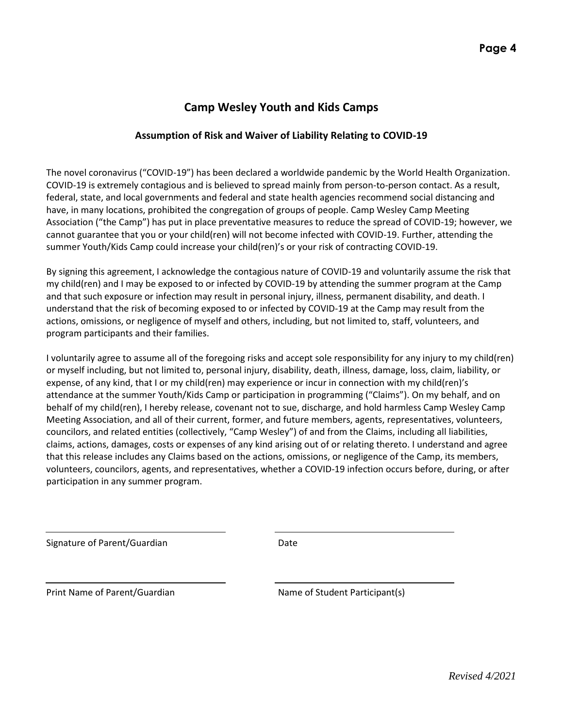### **Camp Wesley Youth and Kids Camps**

#### **Assumption of Risk and Waiver of Liability Relating to COVID-19**

The novel coronavirus ("COVID-19") has been declared a worldwide pandemic by the World Health Organization. COVID-19 is extremely contagious and is believed to spread mainly from person-to-person contact. As a result, federal, state, and local governments and federal and state health agencies recommend social distancing and have, in many locations, prohibited the congregation of groups of people. Camp Wesley Camp Meeting Association ("the Camp") has put in place preventative measures to reduce the spread of COVID-19; however, we cannot guarantee that you or your child(ren) will not become infected with COVID-19. Further, attending the summer Youth/Kids Camp could increase your child(ren)'s or your risk of contracting COVID-19.

By signing this agreement, I acknowledge the contagious nature of COVID-19 and voluntarily assume the risk that my child(ren) and I may be exposed to or infected by COVID-19 by attending the summer program at the Camp and that such exposure or infection may result in personal injury, illness, permanent disability, and death. I understand that the risk of becoming exposed to or infected by COVID-19 at the Camp may result from the actions, omissions, or negligence of myself and others, including, but not limited to, staff, volunteers, and program participants and their families.

I voluntarily agree to assume all of the foregoing risks and accept sole responsibility for any injury to my child(ren) or myself including, but not limited to, personal injury, disability, death, illness, damage, loss, claim, liability, or expense, of any kind, that I or my child(ren) may experience or incur in connection with my child(ren)'s attendance at the summer Youth/Kids Camp or participation in programming ("Claims"). On my behalf, and on behalf of my child(ren), I hereby release, covenant not to sue, discharge, and hold harmless Camp Wesley Camp Meeting Association, and all of their current, former, and future members, agents, representatives, volunteers, councilors, and related entities (collectively, "Camp Wesley") of and from the Claims, including all liabilities, claims, actions, damages, costs or expenses of any kind arising out of or relating thereto. I understand and agree that this release includes any Claims based on the actions, omissions, or negligence of the Camp, its members, volunteers, councilors, agents, and representatives, whether a COVID-19 infection occurs before, during, or after participation in any summer program.

Signature of Parent/Guardian Date

Print Name of Parent/Guardian Name of Student Participant(s)